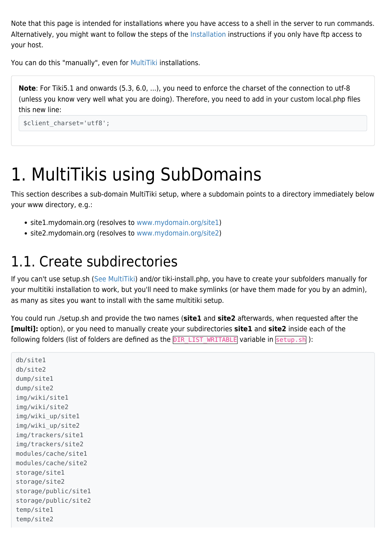Note that this page is intended for installations where you have access to a shell in the server to run commands. Alternatively, you might want to follow the steps of the [Installation](https://doc.tiki.org/Installation) instructions if you only have ftp access to your host.

You can do this "manually", even for [MultiTiki](https://doc.tiki.org/MultiTiki) installations.

**Note**: For Tiki5.1 and onwards (5.3, 6.0, ...), you need to enforce the charset of the connection to utf-8 (unless you know very well what you are doing). Therefore, you need to add in your custom local.php files this new line:

```
$client_charset='utf8';
```
## 1. MultiTikis using SubDomains

This section describes a sub-domain MultiTiki setup, where a subdomain points to a directory immediately below your www directory, e.g.:

- site1.mydomain.org (resolves to [www.mydomain.org/site1\)](https://doc.tiki.org/www.mydomain.org/site1)
- site2.mydomain.org (resolves to [www.mydomain.org/site2\)](https://doc.tiki.org/www.mydomain.org/site2)

### 1.1. Create subdirectories

If you can't use setup.sh [\(See MultiTiki](http://doc.tiki.org/tiki-index.php?page=MultiTiki)) and/or tiki-install.php, you have to create your subfolders manually for your multitiki installation to work, but you'll need to make symlinks (or have them made for you by an admin), as many as sites you want to install with the same multitiki setup.

You could run ./setup.sh and provide the two names (**site1** and **site2** afterwards, when requested after the **[multi]:** option), or you need to manually create your subdirectories **site1** and **site2** inside each of the following folders (list of folders are defined as the DIR LIST WRITABLE variable in setup.sh):

```
db/site1
db/site2
dump/site1
dump/site2
img/wiki/site1
img/wiki/site2
img/wiki_up/site1
img/wiki_up/site2
img/trackers/site1
img/trackers/site2
modules/cache/site1
modules/cache/site2
storage/site1
storage/site2
storage/public/site1
storage/public/site2
temp/site1
temp/site2
```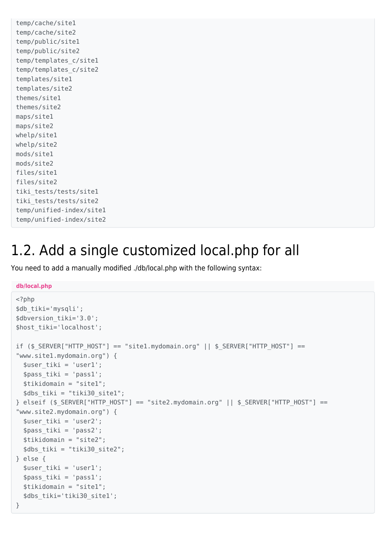```
temp/cache/site1
temp/cache/site2
temp/public/site1
temp/public/site2
temp/templates_c/site1
temp/templates_c/site2
templates/site1
templates/site2
themes/site1
themes/site2
maps/site1
maps/site2
whelp/site1
whelp/site2
mods/site1
mods/site2
files/site1
files/site2
tiki tests/tests/sitel
tiki tests/tests/site2
temp/unified-index/site1
temp/unified-index/site2
```
### 1.2. Add a single customized local.php for all

You need to add a manually modified ./db/local.php with the following syntax:

#### **db/local.php**

```
<?php
$db_tiki='mysqli';
$dbversion_tiki='3.0';
$host_tiki='localhost';
if ($ SERVER["HTTP HOST"] == "site1.mydomain.org" || $ SERVER["HTTP HOST"] ==
"www.site1.mydomain.org") {
   $user_tiki = 'user1';
   $pass_tiki = 'pass1';
   $tikidomain = "site1";
   $dbs_tiki = "tiki30_site1";
} elseif ($ SERVER["HTTP_HOST"] == "site2.mydomain.org" || $_SERVER["HTTP_HOST"] ==
"www.site2.mydomain.org") {
   $user_tiki = 'user2';
   $pass_tiki = 'pass2';
   $tikidomain = "site2";
   $dbs_tiki = "tiki30_site2";
} else {
   $user_tiki = 'user1';
   $pass_tiki = 'pass1';
   $tikidomain = "site1";
   $dbs_tiki='tiki30_site1';
}
```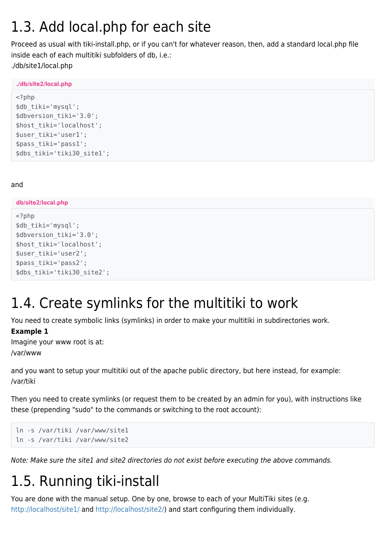### 1.3. Add local.php for each site

Proceed as usual with tiki-install.php, or if you can't for whatever reason, then, add a standard local.php file inside each of each multitiki subfolders of db, i.e.: ./db/site1/local.php

**./db/site2/local.php**

```
<?php
$db_tiki='mysql';
$dbversion_tiki='3.0';
$host_tiki='localhost';
$user_tiki='user1';
$pass_tiki='pass1';
$dbs_tiki='tiki30_site1';
```
#### and

**db/site2/local.php**

```
<?php
$db_tiki='mysql';
$dbversion tiki='3.0';
$host_tiki='localhost';
$user_tiki='user2';
$pass_tiki='pass2';
$dbs_tiki='tiki30_site2';
```
### 1.4. Create symlinks for the multitiki to work

You need to create symbolic links (symlinks) in order to make your multitiki in subdirectories work.

### **Example 1**

Imagine your www root is at: /var/www

and you want to setup your multitiki out of the apache public directory, but here instead, for example: /var/tiki

Then you need to create symlinks (or request them to be created by an admin for you), with instructions like these (prepending "sudo" to the commands or switching to the root account):

```
ln -s /var/tiki /var/www/site1
ln -s /var/tiki /var/www/site2
```
Note: Make sure the site1 and site2 directories do not exist before executing the above commands.

## 1.5. Running tiki-install

You are done with the manual setup. One by one, browse to each of your MultiTiki sites (e.g. [http://localhost/site1/](#page--1-0) and [http://localhost/site2/](#page--1-0)) and start configuring them individually.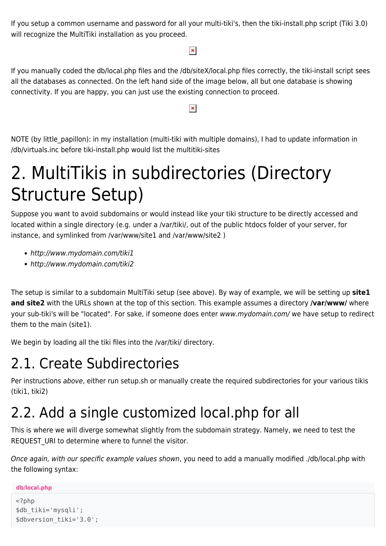If you setup a common username and password for all your multi-tiki's, then the tiki-install.php script (Tiki 3.0) will recognize the MultiTiki installation as you proceed.

#### $\pmb{\times}$

If you manually coded the db/local.php files and the /db/siteX/local.php files correctly, the tiki-install script sees all the databases as connected. On the left hand side of the image below, all but one database is showing connectivity. If you are happy, you can just use the existing connection to proceed.

#### $\pmb{\times}$

NOTE (by little papillon): in my installation (multi-tiki with multiple domains), I had to update information in /db/virtuals.inc before tiki-install.php would list the multitiki-sites

## 2. MultiTikis in subdirectories (Directory Structure Setup)

Suppose you want to avoid subdomains or would instead like your tiki structure to be directly accessed and located within a single directory (e.g. under a /var/tiki/, out of the public htdocs folder of your server, for instance, and symlinked from /var/www/site1 and /var/www/site2 )

- http://www.mydomain.com/tiki1
- http://www.mydomain.com/tiki2

The setup is similar to a subdomain MultiTiki setup (see above). By way of example, we will be setting up **site1 and site2** with the URLs shown at the top of this section. This example assumes a directory **/var/www/** where your sub-tiki's will be "located". For sake, if someone does enter www.mydomain.com/ we have setup to redirect them to the main (site1).

We begin by loading all the tiki files into the /var/tiki/ directory.

### 2.1. Create Subdirectories

Per instructions above, either run setup.sh or manually create the required subdirectories for your various tikis (tiki1, tiki2)

### 2.2. Add a single customized local.php for all

This is where we will diverge somewhat slightly from the subdomain strategy. Namely, we need to test the REQUEST URI to determine where to funnel the visitor.

Once again, with our specific example values shown, you need to add a manually modified ./db/local.php with the following syntax:

```
db/local.php
```

```
<?php
$db_tiki='mysqli';
$dbversion tiki='3.0';
```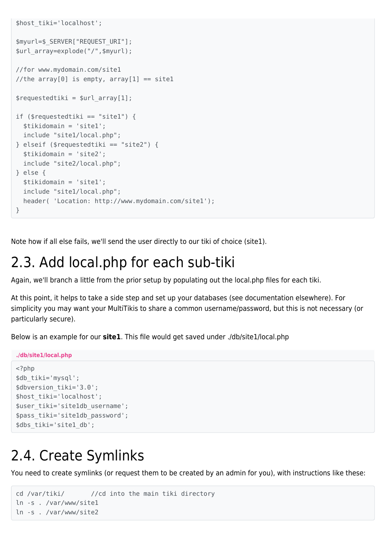```
$host_tiki='localhost';
$myurl=$_SERVER["REQUEST_URI"];
$url_array=explode("/",$myurl);
//for www.mydomain.com/site1
//the array[0] is empty, array[1] == sitel
$requestedtiki = $url array[1];if ($requestedtiki == "site1") {
   $tikidomain = 'site1';
   include "site1/local.php";
} elseif ($requestedtiki == "site2") {
   $tikidomain = 'site2';
   include "site2/local.php";
} else {
   $tikidomain = 'site1';
   include "site1/local.php";
   header( 'Location: http://www.mydomain.com/site1');
}
```
Note how if all else fails, we'll send the user directly to our tiki of choice (site1).

### 2.3. Add local.php for each sub-tiki

Again, we'll branch a little from the prior setup by populating out the local.php files for each tiki.

At this point, it helps to take a side step and set up your databases (see documentation elsewhere). For simplicity you may want your MultiTikis to share a common username/password, but this is not necessary (or particularly secure).

Below is an example for our **site1**. This file would get saved under ./db/site1/local.php

```
./db/site1/local.php
<?php
$db_tiki='mysql';
$dbversion tiki='3.0';
$host_tiki='localhost';
$user_tiki='site1db_username';
$pass_tiki='site1db_password';
$dbs_tiki='site1_db';
```
### 2.4. Create Symlinks

You need to create symlinks (or request them to be created by an admin for you), with instructions like these:

```
cd /var/tiki/ //cd into the main tiki directory
ln -s . /var/www/site1
ln -s . /var/www/site2
```